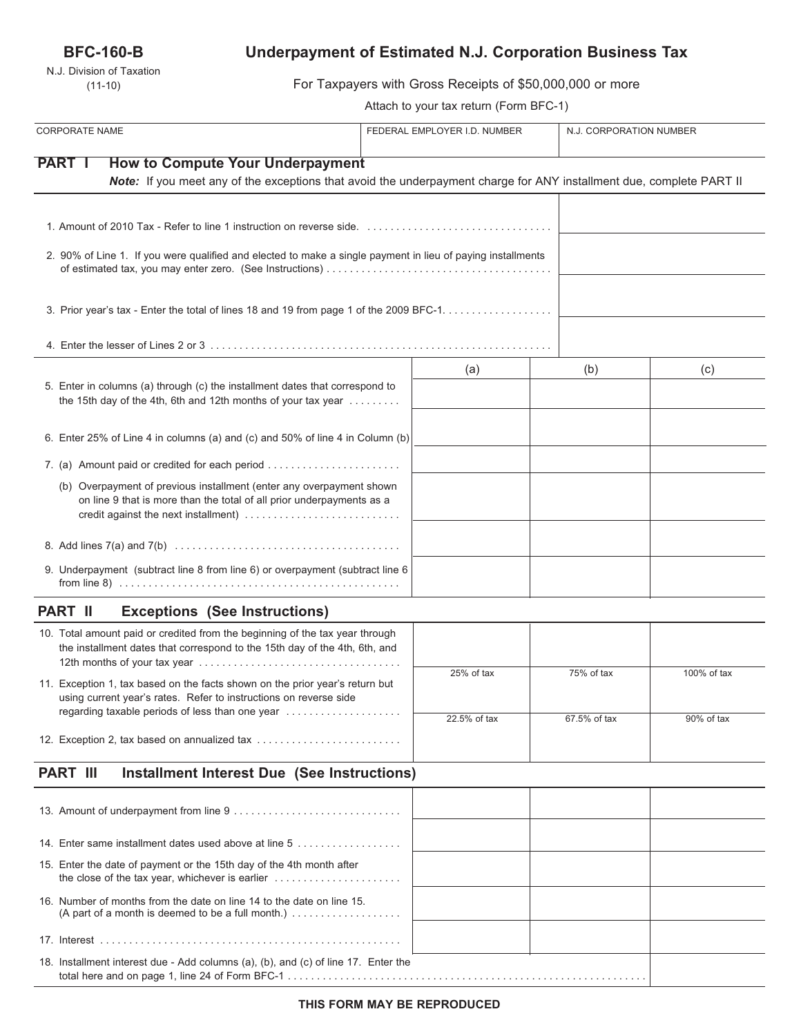# **BFC-160-B**

N.J. Division of Taxation (11-10)

# **Underpayment of Estimated N.J. Corporation Business Tax**

For Taxpayers with Gross Receipts of \$50,000,000 or more

Attach to your tax return (Form BFC-1)

| <b>CORPORATE NAME</b>                                                                                                                                                                 | FEDERAL EMPLOYER I.D. NUMBER |              | N.J. CORPORATION NUMBER |  |
|---------------------------------------------------------------------------------------------------------------------------------------------------------------------------------------|------------------------------|--------------|-------------------------|--|
| <b>PART I</b><br><b>How to Compute Your Underpayment</b>                                                                                                                              |                              |              |                         |  |
| Note: If you meet any of the exceptions that avoid the underpayment charge for ANY installment due, complete PART II                                                                  |                              |              |                         |  |
|                                                                                                                                                                                       |                              |              |                         |  |
| 2. 90% of Line 1. If you were qualified and elected to make a single payment in lieu of paying installments                                                                           |                              |              |                         |  |
| 3. Prior year's tax - Enter the total of lines 18 and 19 from page 1 of the 2009 BFC-1.                                                                                               |                              |              |                         |  |
|                                                                                                                                                                                       |                              |              |                         |  |
|                                                                                                                                                                                       | (a)                          | (b)          | (c)                     |  |
| 5. Enter in columns (a) through (c) the installment dates that correspond to<br>the 15th day of the 4th, 6th and 12th months of your tax year                                         |                              |              |                         |  |
| 6. Enter 25% of Line 4 in columns (a) and (c) and 50% of line 4 in Column (b)                                                                                                         |                              |              |                         |  |
| 7. (a) Amount paid or credited for each period                                                                                                                                        |                              |              |                         |  |
| (b) Overpayment of previous installment (enter any overpayment shown<br>on line 9 that is more than the total of all prior underpayments as a<br>credit against the next installment) |                              |              |                         |  |
|                                                                                                                                                                                       |                              |              |                         |  |
| 9. Underpayment (subtract line 8 from line 6) or overpayment (subtract line 6                                                                                                         |                              |              |                         |  |
| <b>Exceptions (See Instructions)</b><br><b>PART II</b>                                                                                                                                |                              |              |                         |  |
| 10. Total amount paid or credited from the beginning of the tax year through<br>the installment dates that correspond to the 15th day of the 4th, 6th, and                            |                              |              |                         |  |
| 11. Exception 1, tax based on the facts shown on the prior year's return but<br>using current year's rates. Refer to instructions on reverse side                                     | 25% of tax                   | 75% of tax   | 100% of tax             |  |
| regarding taxable periods of less than one year                                                                                                                                       | 22.5% of tax                 | 67.5% of tax | 90% of tax              |  |
| 12. Exception 2, tax based on annualized tax                                                                                                                                          |                              |              |                         |  |
| <b>PART III</b><br><b>Installment Interest Due (See Instructions)</b>                                                                                                                 |                              |              |                         |  |
|                                                                                                                                                                                       |                              |              |                         |  |
| 14. Enter same installment dates used above at line 5                                                                                                                                 |                              |              |                         |  |
| 15. Enter the date of payment or the 15th day of the 4th month after                                                                                                                  |                              |              |                         |  |
| 16. Number of months from the date on line 14 to the date on line 15.<br>(A part of a month is deemed to be a full month.) $\ldots \ldots \ldots \ldots \ldots$                       |                              |              |                         |  |
|                                                                                                                                                                                       |                              |              |                         |  |
| 18. Installment interest due - Add columns (a), (b), and (c) of line 17. Enter the                                                                                                    |                              |              |                         |  |